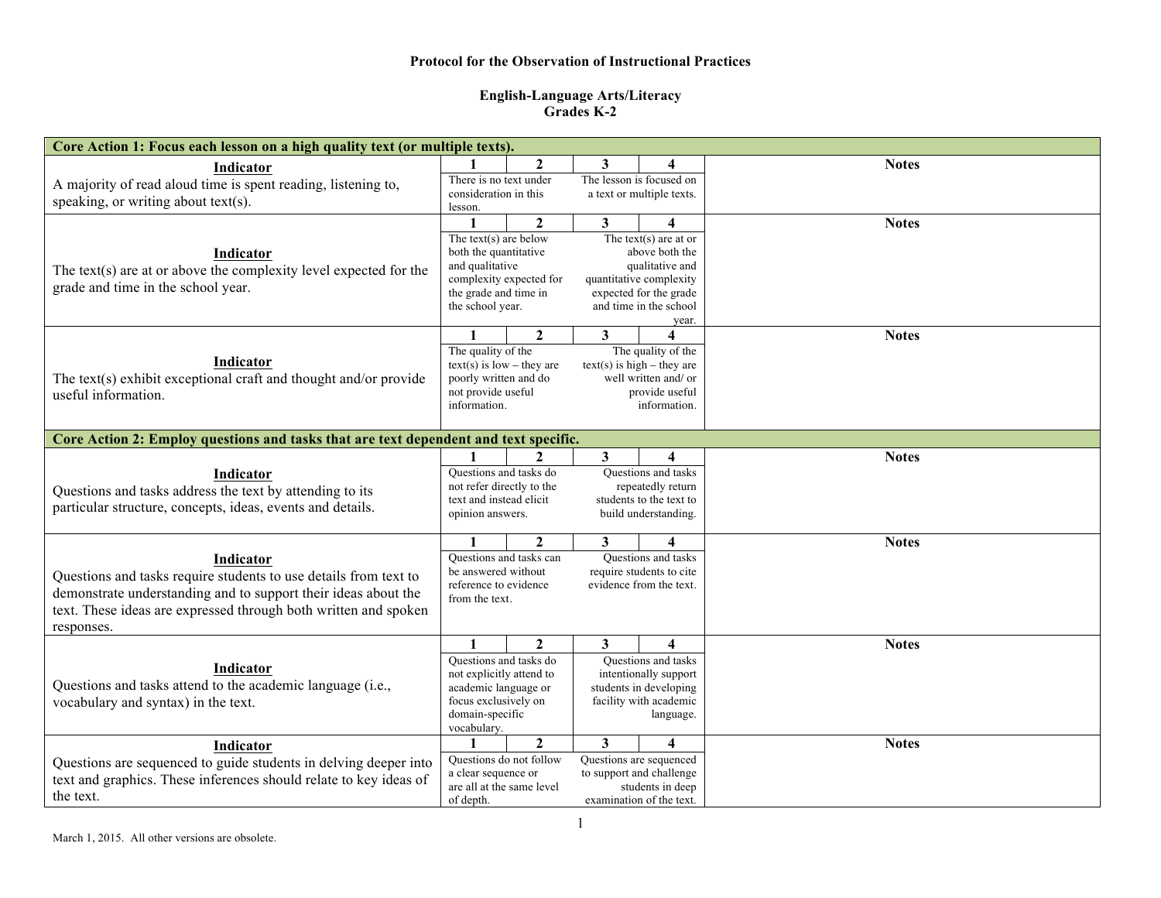## **Protocol for the Observation of Instructional Practices**

## **English-Language Arts/Literacy Grades K-2**

| Core Action 1: Focus each lesson on a high quality text (or multiple texts).                                                        |                                                      |                           |                           |                                                      |              |  |  |  |
|-------------------------------------------------------------------------------------------------------------------------------------|------------------------------------------------------|---------------------------|---------------------------|------------------------------------------------------|--------------|--|--|--|
| Indicator                                                                                                                           |                                                      | $\mathbf{2}$              | 3                         | Δ                                                    | <b>Notes</b> |  |  |  |
| A majority of read aloud time is spent reading, listening to,                                                                       | There is no text under                               |                           | The lesson is focused on  |                                                      |              |  |  |  |
| speaking, or writing about text(s).                                                                                                 | consideration in this                                |                           | a text or multiple texts. |                                                      |              |  |  |  |
|                                                                                                                                     | lesson.<br>$\mathbf{2}$                              |                           | 3<br>4                    |                                                      | <b>Notes</b> |  |  |  |
|                                                                                                                                     | The text(s) are below                                |                           |                           | The text(s) are at or                                |              |  |  |  |
| Indicator                                                                                                                           | both the quantitative                                |                           |                           | above both the                                       |              |  |  |  |
|                                                                                                                                     | and qualitative                                      |                           | qualitative and           |                                                      |              |  |  |  |
| The text(s) are at or above the complexity level expected for the                                                                   | complexity expected for                              |                           | quantitative complexity   |                                                      |              |  |  |  |
| grade and time in the school year.                                                                                                  | the grade and time in                                |                           | expected for the grade    |                                                      |              |  |  |  |
|                                                                                                                                     | the school year.                                     |                           | and time in the school    |                                                      |              |  |  |  |
|                                                                                                                                     |                                                      |                           |                           | year.                                                |              |  |  |  |
|                                                                                                                                     | 1                                                    | $\mathbf{2}$              | 3                         | 4                                                    | <b>Notes</b> |  |  |  |
| Indicator                                                                                                                           | The quality of the                                   |                           |                           | The quality of the                                   |              |  |  |  |
| The text(s) exhibit exceptional craft and thought and/or provide                                                                    | $text(s)$ is low – they are<br>poorly written and do |                           |                           | $text(s)$ is high – they are<br>well written and/ or |              |  |  |  |
|                                                                                                                                     | not provide useful                                   |                           |                           | provide useful                                       |              |  |  |  |
| useful information.                                                                                                                 |                                                      | information.              |                           | information.                                         |              |  |  |  |
|                                                                                                                                     |                                                      |                           |                           |                                                      |              |  |  |  |
| Core Action 2: Employ questions and tasks that are text dependent and text specific.                                                |                                                      |                           |                           |                                                      |              |  |  |  |
|                                                                                                                                     | $\mathbf{1}$                                         | $\mathbf{2}$              | $\mathbf{3}$              | 4                                                    | <b>Notes</b> |  |  |  |
| Indicator<br>Questions and tasks address the text by attending to its<br>particular structure, concepts, ideas, events and details. | Ouestions and tasks do                               |                           | Questions and tasks       |                                                      |              |  |  |  |
|                                                                                                                                     | not refer directly to the                            |                           | repeatedly return         |                                                      |              |  |  |  |
|                                                                                                                                     | text and instead elicit                              |                           | students to the text to   |                                                      |              |  |  |  |
|                                                                                                                                     | build understanding.<br>opinion answers.             |                           |                           |                                                      |              |  |  |  |
|                                                                                                                                     |                                                      | $\mathbf{2}$              | 3                         | 4                                                    | <b>Notes</b> |  |  |  |
| Indicator                                                                                                                           |                                                      | Questions and tasks can   |                           | Questions and tasks                                  |              |  |  |  |
| Questions and tasks require students to use details from text to                                                                    | be answered without                                  |                           | require students to cite  |                                                      |              |  |  |  |
| demonstrate understanding and to support their ideas about the                                                                      | reference to evidence                                |                           |                           | evidence from the text.                              |              |  |  |  |
| text. These ideas are expressed through both written and spoken                                                                     | from the text.                                       |                           |                           |                                                      |              |  |  |  |
| responses.                                                                                                                          |                                                      |                           |                           |                                                      |              |  |  |  |
|                                                                                                                                     | $\mathbf{1}$                                         | $\overline{2}$            | 3 <sup>1</sup>            | 4                                                    | <b>Notes</b> |  |  |  |
| Indicator<br>Questions and tasks attend to the academic language (i.e.,<br>vocabulary and syntax) in the text.                      | Ouestions and tasks do                               |                           | Questions and tasks       |                                                      |              |  |  |  |
|                                                                                                                                     | not explicitly attend to                             |                           | intentionally support     |                                                      |              |  |  |  |
|                                                                                                                                     | academic language or                                 |                           | students in developing    |                                                      |              |  |  |  |
|                                                                                                                                     | focus exclusively on                                 |                           | facility with academic    |                                                      |              |  |  |  |
|                                                                                                                                     | domain-specific<br>vocabulary.                       |                           | language.                 |                                                      |              |  |  |  |
|                                                                                                                                     | 1                                                    | $\overline{2}$            | 3                         | $\overline{\mathbf{4}}$                              | <b>Notes</b> |  |  |  |
| Indicator                                                                                                                           |                                                      |                           |                           | Questions are sequenced                              |              |  |  |  |
| Questions are sequenced to guide students in delving deeper into                                                                    | Questions do not follow<br>a clear sequence or       |                           |                           | to support and challenge                             |              |  |  |  |
| text and graphics. These inferences should relate to key ideas of<br>the text.                                                      |                                                      | are all at the same level |                           | students in deep                                     |              |  |  |  |
|                                                                                                                                     |                                                      | of depth.                 |                           | examination of the text.                             |              |  |  |  |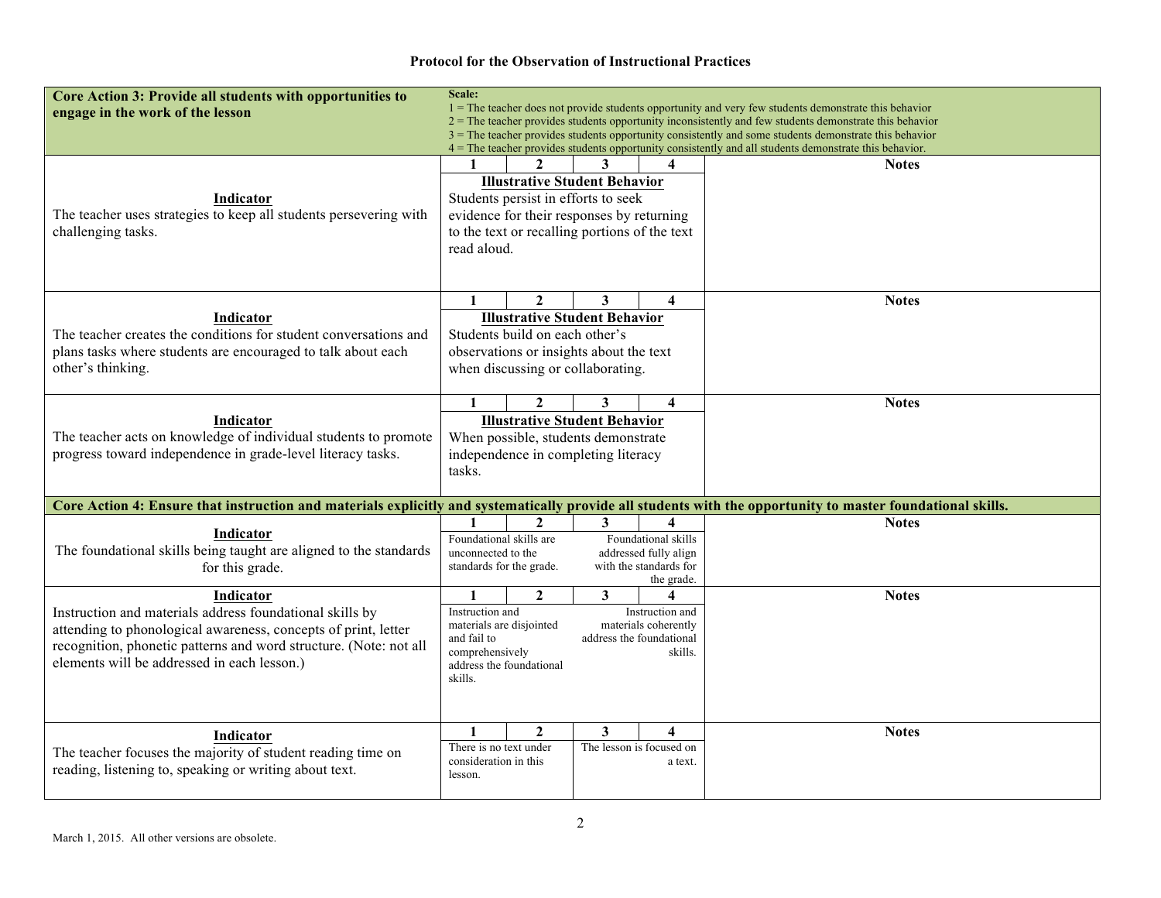## **Protocol for the Observation of Instructional Practices**

| Core Action 3: Provide all students with opportunities to<br>engage in the work of the lesson                                                                                                                                                               | Scale:<br>$1 =$ The teacher does not provide students opportunity and very few students demonstrate this behavior<br>$2 =$ The teacher provides students opportunity inconsistently and few students demonstrate this behavior                                |                                                |                                                                                                                                                                           |                                                                                           |                                                                                                                                                                                                                  |  |  |  |
|-------------------------------------------------------------------------------------------------------------------------------------------------------------------------------------------------------------------------------------------------------------|---------------------------------------------------------------------------------------------------------------------------------------------------------------------------------------------------------------------------------------------------------------|------------------------------------------------|---------------------------------------------------------------------------------------------------------------------------------------------------------------------------|-------------------------------------------------------------------------------------------|------------------------------------------------------------------------------------------------------------------------------------------------------------------------------------------------------------------|--|--|--|
|                                                                                                                                                                                                                                                             |                                                                                                                                                                                                                                                               |                                                |                                                                                                                                                                           |                                                                                           | 3 = The teacher provides students opportunity consistently and some students demonstrate this behavior<br>4 = The teacher provides students opportunity consistently and all students demonstrate this behavior. |  |  |  |
| Indicator<br>The teacher uses strategies to keep all students persevering with<br>challenging tasks.                                                                                                                                                        | 1<br>read aloud.                                                                                                                                                                                                                                              |                                                | <b>Illustrative Student Behavior</b><br>Students persist in efforts to seek<br>evidence for their responses by returning<br>to the text or recalling portions of the text | 4                                                                                         | <b>Notes</b>                                                                                                                                                                                                     |  |  |  |
| Indicator<br>The teacher creates the conditions for student conversations and<br>plans tasks where students are encouraged to talk about each<br>other's thinking.                                                                                          | 1                                                                                                                                                                                                                                                             | $\mathbf{2}$<br>Students build on each other's | 3<br><b>Illustrative Student Behavior</b><br>observations or insights about the text<br>when discussing or collaborating.                                                 | 4                                                                                         | <b>Notes</b>                                                                                                                                                                                                     |  |  |  |
| Indicator<br>The teacher acts on knowledge of individual students to promote<br>progress toward independence in grade-level literacy tasks.                                                                                                                 | $\mathbf{2}$<br>4<br>$\mathbf{1}$<br>3<br><b>Illustrative Student Behavior</b><br>When possible, students demonstrate<br>independence in completing literacy<br>tasks.                                                                                        |                                                |                                                                                                                                                                           |                                                                                           | <b>Notes</b>                                                                                                                                                                                                     |  |  |  |
| Core Action 4: Ensure that instruction and materials explicitly and systematically provide all students with the opportunity to master foundational skills.                                                                                                 |                                                                                                                                                                                                                                                               |                                                |                                                                                                                                                                           |                                                                                           |                                                                                                                                                                                                                  |  |  |  |
| Indicator<br>The foundational skills being taught are aligned to the standards<br>for this grade.                                                                                                                                                           | Foundational skills are<br>unconnected to the<br>standards for the grade.                                                                                                                                                                                     | $\mathbf{2}$                                   | 3                                                                                                                                                                         | 4<br>Foundational skills<br>addressed fully align<br>with the standards for<br>the grade. | <b>Notes</b>                                                                                                                                                                                                     |  |  |  |
| Indicator<br>Instruction and materials address foundational skills by<br>attending to phonological awareness, concepts of print, letter<br>recognition, phonetic patterns and word structure. (Note: not all<br>elements will be addressed in each lesson.) | $\overline{2}$<br>$\mathbf{3}$<br>$\mathbf{1}$<br>4<br>Instruction and<br>Instruction and<br>materials are disjointed<br>materials coherently<br>and fail to<br>address the foundational<br>comprehensively<br>skills.<br>address the foundational<br>skills. |                                                |                                                                                                                                                                           |                                                                                           | <b>Notes</b>                                                                                                                                                                                                     |  |  |  |
| Indicator<br>The teacher focuses the majority of student reading time on<br>reading, listening to, speaking or writing about text.                                                                                                                          | $\mathbf{1}$<br>There is no text under<br>consideration in this<br>lesson.                                                                                                                                                                                    | $\mathbf{2}$                                   | 3                                                                                                                                                                         | 4<br>The lesson is focused on<br>a text.                                                  | <b>Notes</b>                                                                                                                                                                                                     |  |  |  |